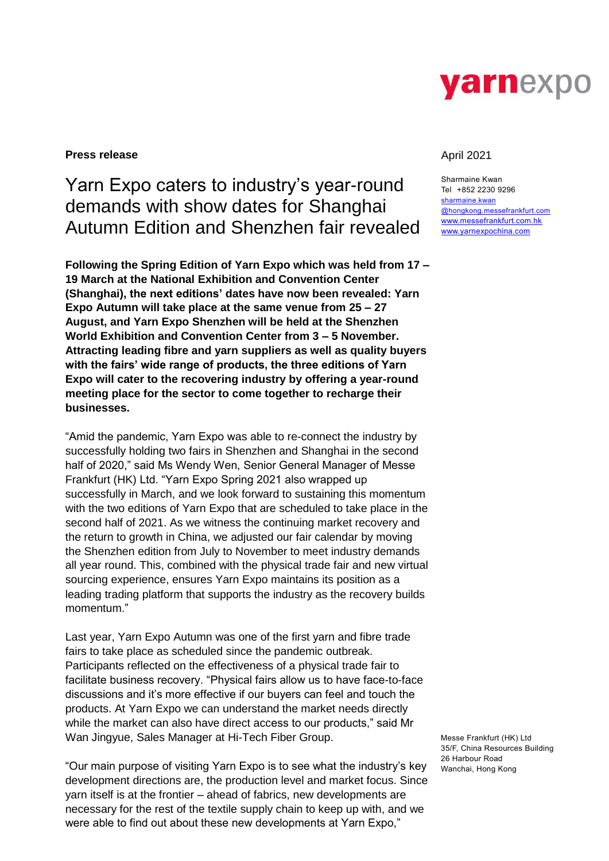

### **Press release** April 2021

# Yarn Expo caters to industry's year-round demands with show dates for Shanghai Autumn Edition and Shenzhen fair revealed

**Following the Spring Edition of Yarn Expo which was held from 17 – 19 March at the National Exhibition and Convention Center (Shanghai), the next editions' dates have now been revealed: Yarn Expo Autumn will take place at the same venue from 25 – 27 August, and Yarn Expo Shenzhen will be held at the Shenzhen World Exhibition and Convention Center from 3 – 5 November. Attracting leading fibre and yarn suppliers as well as quality buyers with the fairs' wide range of products, the three editions of Yarn Expo will cater to the recovering industry by offering a year-round meeting place for the sector to come together to recharge their businesses.**

"Amid the pandemic, Yarn Expo was able to re-connect the industry by successfully holding two fairs in Shenzhen and Shanghai in the second half of 2020," said Ms Wendy Wen, Senior General Manager of Messe Frankfurt (HK) Ltd. "Yarn Expo Spring 2021 also wrapped up successfully in March, and we look forward to sustaining this momentum with the two editions of Yarn Expo that are scheduled to take place in the second half of 2021. As we witness the continuing market recovery and the return to growth in China, we adjusted our fair calendar by moving the Shenzhen edition from July to November to meet industry demands all year round. This, combined with the physical trade fair and new virtual sourcing experience, ensures Yarn Expo maintains its position as a leading trading platform that supports the industry as the recovery builds momentum."

Last year, Yarn Expo Autumn was one of the first yarn and fibre trade fairs to take place as scheduled since the pandemic outbreak. Participants reflected on the effectiveness of a physical trade fair to facilitate business recovery. "Physical fairs allow us to have face-to-face discussions and it's more effective if our buyers can feel and touch the products. At Yarn Expo we can understand the market needs directly while the market can also have direct access to our products," said Mr Wan Jingyue, Sales Manager at Hi-Tech Fiber Group.

"Our main purpose of visiting Yarn Expo is to see what the industry's key development directions are, the production level and market focus. Since yarn itself is at the frontier – ahead of fabrics, new developments are necessary for the rest of the textile supply chain to keep up with, and we were able to find out about these new developments at Yarn Expo,"

Sharmaine Kwan Tel +852 2230 9296 [sharmaine.kwan](mailto:sharmaine.kwan@hongkong.messefrankfurt.com) [@hongkong.messefrankfurt.com](mailto:sharmaine.kwan@hongkong.messefrankfurt.com) [www.messefrankfurt.com.hk](http://www.messefrankfurt.com.hk/) [www.yarnexpochina.com](http://www.yarnexpochina.com/)

Messe Frankfurt (HK) Ltd 35/F, China Resources Building 26 Harbour Road Wanchai, Hong Kong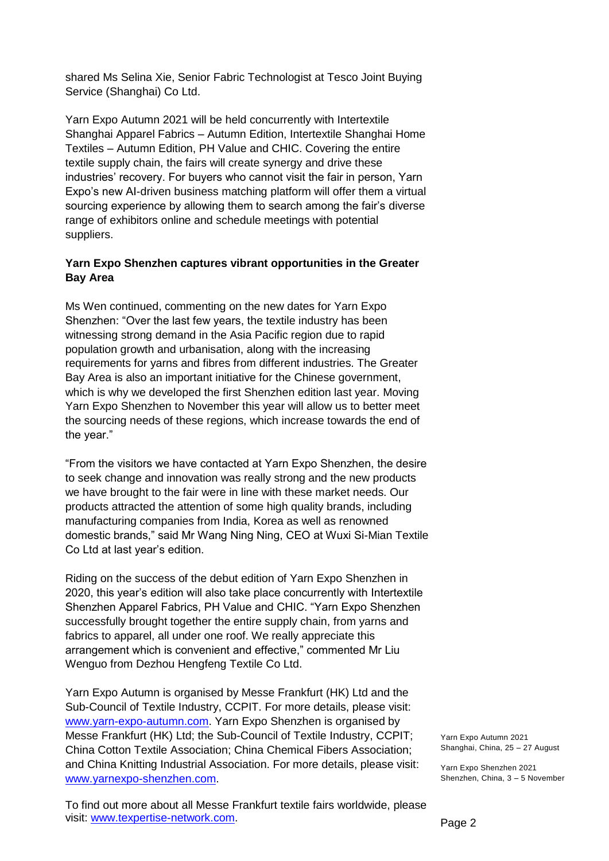shared Ms Selina Xie, Senior Fabric Technologist at Tesco Joint Buying Service (Shanghai) Co Ltd.

Yarn Expo Autumn 2021 will be held concurrently with Intertextile Shanghai Apparel Fabrics – Autumn Edition, Intertextile Shanghai Home Textiles – Autumn Edition, PH Value and CHIC. Covering the entire textile supply chain, the fairs will create synergy and drive these industries' recovery. For buyers who cannot visit the fair in person, Yarn Expo's new AI-driven business matching platform will offer them a virtual sourcing experience by allowing them to search among the fair's diverse range of exhibitors online and schedule meetings with potential suppliers.

## **Yarn Expo Shenzhen captures vibrant opportunities in the Greater Bay Area**

Ms Wen continued, commenting on the new dates for Yarn Expo Shenzhen: "Over the last few years, the textile industry has been witnessing strong demand in the Asia Pacific region due to rapid population growth and urbanisation, along with the increasing requirements for yarns and fibres from different industries. The Greater Bay Area is also an important initiative for the Chinese government, which is why we developed the first Shenzhen edition last year. Moving Yarn Expo Shenzhen to November this year will allow us to better meet the sourcing needs of these regions, which increase towards the end of the year."

"From the visitors we have contacted at Yarn Expo Shenzhen, the desire to seek change and innovation was really strong and the new products we have brought to the fair were in line with these market needs. Our products attracted the attention of some high quality brands, including manufacturing companies from India, Korea as well as renowned domestic brands," said Mr Wang Ning Ning, CEO at Wuxi Si-Mian Textile Co Ltd at last year's edition.

Riding on the success of the debut edition of Yarn Expo Shenzhen in 2020, this year's edition will also take place concurrently with Intertextile Shenzhen Apparel Fabrics, PH Value and CHIC. "Yarn Expo Shenzhen successfully brought together the entire supply chain, from varns and fabrics to apparel, all under one roof. We really appreciate this arrangement which is convenient and effective," commented Mr Liu Wenguo from Dezhou Hengfeng Textile Co Ltd.

Yarn Expo Autumn is organised by Messe Frankfurt (HK) Ltd and the Sub-Council of Textile Industry, CCPIT. For more details, please visit: [www.yarn-expo-autumn.com.](http://www.yarn-expo-autumn.com/) Yarn Expo Shenzhen is organised by Messe Frankfurt (HK) Ltd; the Sub-Council of Textile Industry, CCPIT; China Cotton Textile Association; China Chemical Fibers Association; and China Knitting Industrial Association. For more details, please visit: [www.yarnexpo-shenzhen.com.](http://www.yarnexpo-shenzhen.com/)

To find out more about all Messe Frankfurt textile fairs worldwide, please visit: [www.texpertise-network.com.](http://www.texpertise-network.com/)

Yarn Expo Autumn 2021 Shanghai, China, 25 – 27 August

Yarn Expo Shenzhen 2021 Shenzhen, China, 3 – 5 November